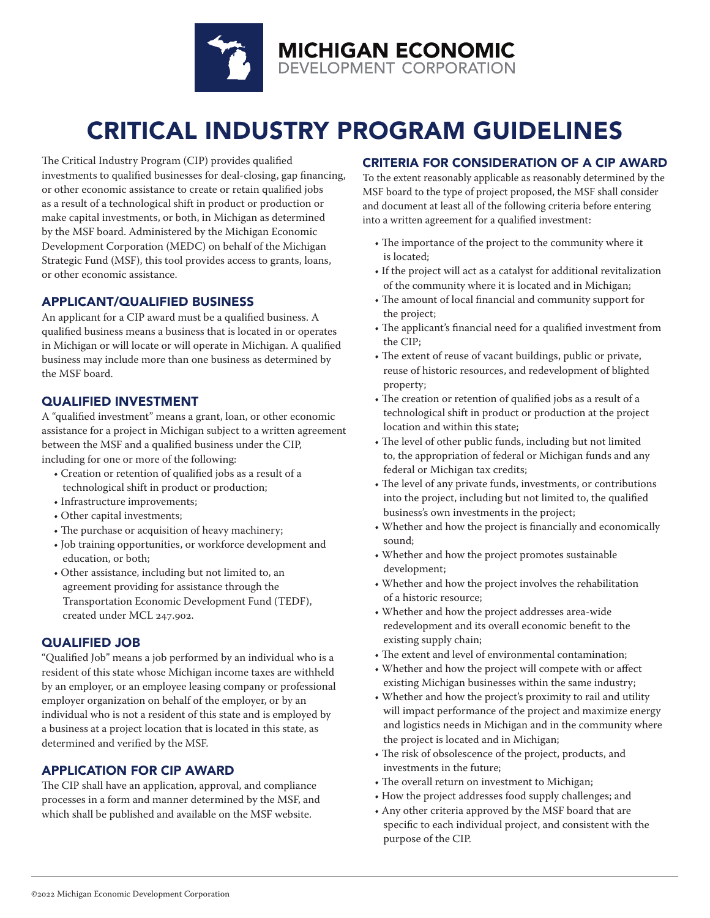

# CRITICAL INDUSTRY PROGRAM GUIDELINES

The Critical Industry Program (CIP) provides qualified investments to qualified businesses for deal-closing, gap financing, or other economic assistance to create or retain qualified jobs as a result of a technological shift in product or production or make capital investments, or both, in Michigan as determined by the MSF board. Administered by the Michigan Economic Development Corporation (MEDC) on behalf of the Michigan Strategic Fund (MSF), this tool provides access to grants, loans, or other economic assistance.

### APPLICANT/QUALIFIED BUSINESS

An applicant for a CIP award must be a qualified business. A qualified business means a business that is located in or operates in Michigan or will locate or will operate in Michigan. A qualified business may include more than one business as determined by the MSF board.

### QUALIFIED INVESTMENT

A "qualified investment" means a grant, loan, or other economic assistance for a project in Michigan subject to a written agreement between the MSF and a qualified business under the CIP, including for one or more of the following:

- Creation or retention of qualified jobs as a result of a technological shift in product or production;
- Infrastructure improvements;
- Other capital investments;
- The purchase or acquisition of heavy machinery;
- Job training opportunities, or workforce development and education, or both;
- Other assistance, including but not limited to, an agreement providing for assistance through the Transportation Economic Development Fund (TEDF), created under MCL 247.902.

### QUALIFIED JOB

"Qualified Job" means a job performed by an individual who is a resident of this state whose Michigan income taxes are withheld by an employer, or an employee leasing company or professional employer organization on behalf of the employer, or by an individual who is not a resident of this state and is employed by a business at a project location that is located in this state, as determined and verified by the MSF.

### APPLICATION FOR CIP AWARD

The CIP shall have an application, approval, and compliance processes in a form and manner determined by the MSF, and which shall be published and available on the MSF website.

### CRITERIA FOR CONSIDERATION OF A CIP AWARD

To the extent reasonably applicable as reasonably determined by the MSF board to the type of project proposed, the MSF shall consider and document at least all of the following criteria before entering into a written agreement for a qualified investment:

- The importance of the project to the community where it is located;
- If the project will act as a catalyst for additional revitalization of the community where it is located and in Michigan;
- The amount of local financial and community support for the project;
- The applicant's financial need for a qualified investment from the CIP;
- The extent of reuse of vacant buildings, public or private, reuse of historic resources, and redevelopment of blighted property;
- The creation or retention of qualified jobs as a result of a technological shift in product or production at the project location and within this state;
- The level of other public funds, including but not limited to, the appropriation of federal or Michigan funds and any federal or Michigan tax credits;
- The level of any private funds, investments, or contributions into the project, including but not limited to, the qualified business's own investments in the project;
- Whether and how the project is financially and economically sound;
- Whether and how the project promotes sustainable development;
- Whether and how the project involves the rehabilitation of a historic resource;
- Whether and how the project addresses area-wide redevelopment and its overall economic benefit to the existing supply chain;
- The extent and level of environmental contamination;
- Whether and how the project will compete with or affect existing Michigan businesses within the same industry;
- Whether and how the project's proximity to rail and utility will impact performance of the project and maximize energy and logistics needs in Michigan and in the community where the project is located and in Michigan;
- The risk of obsolescence of the project, products, and investments in the future;
- The overall return on investment to Michigan;
- How the project addresses food supply challenges; and
- Any other criteria approved by the MSF board that are specific to each individual project, and consistent with the purpose of the CIP.